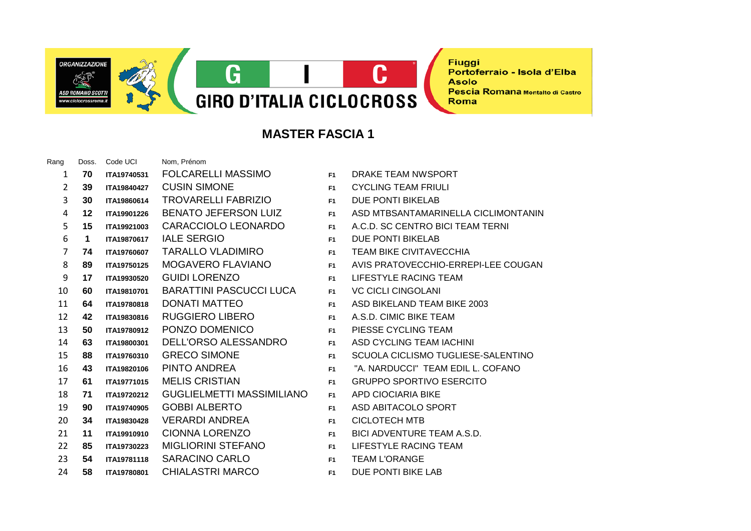ORGANIZZAZIONE **ISD ROMANO SCOTT** 

 $\mathbf C$ G **GIRO D'ITALIA CICLOCROSS** 

**Fiuggi** Portoferraio - Isola d'Elba **Asolo** Pescia Romana Montalto di Castro Roma

## **MASTER FASCIA 1**

| Rang           | Doss.       | Code UCI    | Nom, Prénom                      |                |                                     |
|----------------|-------------|-------------|----------------------------------|----------------|-------------------------------------|
| 1              | 70          | ITA19740531 | FOLCARELLI MASSIMO               | F <sub>1</sub> | DRAKE TEAM NWSPORT                  |
| $\overline{2}$ | 39          | ITA19840427 | <b>CUSIN SIMONE</b>              | F1             | <b>CYCLING TEAM FRIULI</b>          |
| 3              | 30          | ITA19860614 | <b>TROVARELLI FABRIZIO</b>       | F <sub>1</sub> | DUE PONTI BIKELAB                   |
| 4              | 12          | ITA19901226 | <b>BENATO JEFERSON LUIZ</b>      | F <sub>1</sub> | ASD MTBSANTAMARINELLA CICLIMONTANIN |
| 5              | 15          | ITA19921003 | <b>CARACCIOLO LEONARDO</b>       | F <sub>1</sub> | A.C.D. SC CENTRO BICI TEAM TERNI    |
| 6              | $\mathbf 1$ | ITA19870617 | <b>IALE SERGIO</b>               | F <sub>1</sub> | <b>DUE PONTI BIKELAB</b>            |
| 7              | 74          | ITA19760607 | <b>TARALLO VLADIMIRO</b>         | F1             | <b>TEAM BIKE CIVITAVECCHIA</b>      |
| 8              | 89          | ITA19750125 | MOGAVERO FLAVIANO                | F <sub>1</sub> | AVIS PRATOVECCHIO-ERREPI-LEE COUGAN |
| 9              | 17          | ITA19930520 | <b>GUIDI LORENZO</b>             | F <sub>1</sub> | LIFESTYLE RACING TEAM               |
| 10             | 60          | ITA19810701 | <b>BARATTINI PASCUCCI LUCA</b>   | F <sub>1</sub> | <b>VC CICLI CINGOLANI</b>           |
| 11             | 64          | ITA19780818 | <b>DONATI MATTEO</b>             | F <sub>1</sub> | ASD BIKELAND TEAM BIKE 2003         |
| 12             | 42          | ITA19830816 | RUGGIERO LIBERO                  | F <sub>1</sub> | A.S.D. CIMIC BIKE TEAM              |
| 13             | 50          | ITA19780912 | PONZO DOMENICO                   | F1             | PIESSE CYCLING TEAM                 |
| 14             | 63          | ITA19800301 | DELL'ORSO ALESSANDRO             | F1             | ASD CYCLING TEAM IACHINI            |
| 15             | 88          | ITA19760310 | <b>GRECO SIMONE</b>              | F <sub>1</sub> | SCUOLA CICLISMO TUGLIESE-SALENTINO  |
| 16             | 43          | ITA19820106 | PINTO ANDREA                     | F1             | "A. NARDUCCI" TEAM EDIL L. COFANO   |
| 17             | 61          | ITA19771015 | <b>MELIS CRISTIAN</b>            | F1             | <b>GRUPPO SPORTIVO ESERCITO</b>     |
| 18             | 71          | ITA19720212 | <b>GUGLIELMETTI MASSIMILIANO</b> | F1             | APD CIOCIARIA BIKE                  |
| 19             | 90          | ITA19740905 | <b>GOBBI ALBERTO</b>             | F <sub>1</sub> | ASD ABITACOLO SPORT                 |
| 20             | 34          | ITA19830428 | VERARDI ANDREA                   | F <sub>1</sub> | <b>CICLOTECH MTB</b>                |
| 21             | 11          | ITA19910910 | <b>CIONNA LORENZO</b>            | F1             | BICI ADVENTURE TEAM A.S.D.          |
| 22             | 85          | ITA19730223 | <b>MIGLIORINI STEFANO</b>        | F <sub>1</sub> | LIFESTYLE RACING TEAM               |
| 23             | 54          | ITA19781118 | <b>SARACINO CARLO</b>            | F <sub>1</sub> | <b>TEAM L'ORANGE</b>                |
| 24             | 58          | ITA19780801 | <b>CHIALASTRI MARCO</b>          | F1             | DUE PONTI BIKE LAB                  |

| F1             | DRAKE TEAM NWSPORT                |
|----------------|-----------------------------------|
| F <sub>1</sub> | <b>CYCLING TEAM FRIULI</b>        |
| F1.            | DUE PONTI BIKELAB                 |
| F <sub>1</sub> | ASD MTBSANTAMARINELLA CICLIMON    |
| F <sub>1</sub> | A.C.D. SC CENTRO BICI TEAM TERNI  |
| F <sub>1</sub> | DUE PONTI BIKELAB                 |
| F <sub>1</sub> | TEAM BIKE CIVITAVECCHIA           |
| F1             | AVIS PRATOVECCHIO-ERREPI-LEE CO   |
| F1             | LIFESTYLE RACING TEAM             |
| F <sub>1</sub> | <b>VC CICLI CINGOLANI</b>         |
| F1.            | ASD BIKELAND TEAM BIKE 2003       |
| F <sub>1</sub> | A.S.D. CIMIC BIKE TEAM            |
| F <sub>1</sub> | PIESSE CYCLING TEAM               |
| F1             | ASD CYCLING TEAM IACHINI          |
| F <sub>1</sub> | SCUOLA CICLISMO TUGLIESE-SALENT   |
| F1             | "A. NARDUCCI" TEAM EDIL L. COFANO |
| F <sub>1</sub> | <b>GRUPPO SPORTIVO ESERCITO</b>   |
| F1             | APD CIOCIARIA BIKE                |
| F <sub>1</sub> | ASD ABITACOLO SPORT               |
| F <sub>1</sub> | CICLOTECH MTB                     |
| F <sub>1</sub> | BICI ADVENTURE TEAM A.S.D.        |
| F1             | LIFESTYLE RACING TEAM             |
| F1             | <b>TEAM L'ORANGE</b>              |
| F <sub>1</sub> | DUE PONTI BIKE LAB                |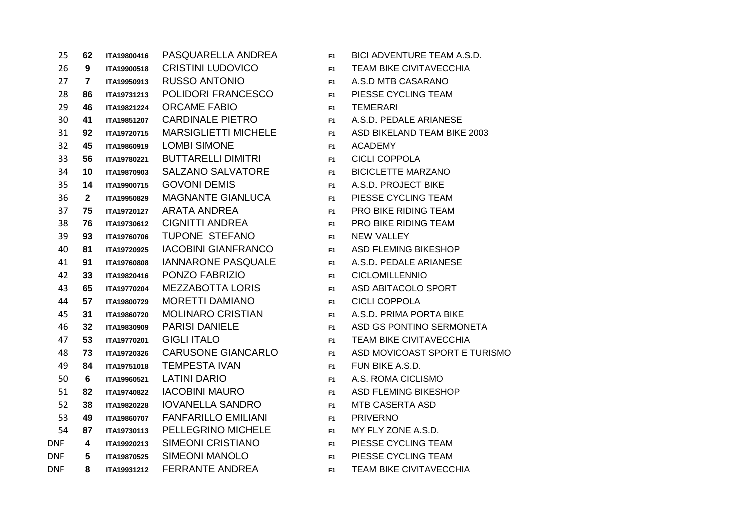| 25         | 62                      | ITA19800416 | PASQUARELLA ANDREA          | F <sub>1</sub> | <b>BICI ADVENTURE TEAM A.S.D.</b> |
|------------|-------------------------|-------------|-----------------------------|----------------|-----------------------------------|
| 26         | $9^{\circ}$             | ITA19900518 | <b>CRISTINI LUDOVICO</b>    | F <sub>1</sub> | <b>TEAM BIKE CIVITAVECCHIA</b>    |
| 27         | $\mathbf{7}$            | ITA19950913 | <b>RUSSO ANTONIO</b>        | F <sub>1</sub> | A.S.D MTB CASARANO                |
| 28         | 86                      | ITA19731213 | <b>POLIDORI FRANCESCO</b>   | F <sub>1</sub> | PIESSE CYCLING TEAM               |
| 29         | 46                      | ITA19821224 | <b>ORCAME FABIO</b>         | F <sub>1</sub> | <b>TEMERARI</b>                   |
| 30         | 41                      | ITA19851207 | <b>CARDINALE PIETRO</b>     | F <sub>1</sub> | A.S.D. PEDALE ARIANESE            |
| 31         | 92                      | ITA19720715 | <b>MARSIGLIETTI MICHELE</b> | F <sub>1</sub> | ASD BIKELAND TEAM BIKE 2003       |
| 32         | 45                      | ITA19860919 | <b>LOMBI SIMONE</b>         | F1             | <b>ACADEMY</b>                    |
| 33         | 56                      | ITA19780221 | <b>BUTTARELLI DIMITRI</b>   | F <sub>1</sub> | <b>CICLI COPPOLA</b>              |
| 34         | 10                      | ITA19870903 | <b>SALZANO SALVATORE</b>    | F <sub>1</sub> | <b>BICICLETTE MARZANO</b>         |
| 35         | 14                      | ITA19900715 | <b>GOVONI DEMIS</b>         | F <sub>1</sub> | A.S.D. PROJECT BIKE               |
| 36         | $\mathbf{2}$            | ITA19950829 | MAGNANTE GIANLUCA           | F <sub>1</sub> | PIESSE CYCLING TEAM               |
| 37         | 75                      | ITA19720127 | <b>ARATA ANDREA</b>         | F <sub>1</sub> | PRO BIKE RIDING TEAM              |
| 38         | 76                      | ITA19730612 | <b>CIGNITTI ANDREA</b>      | F <sub>1</sub> | PRO BIKE RIDING TEAM              |
| 39         | 93                      | ITA19760706 | TUPONE STEFANO              | F <sub>1</sub> | <b>NEW VALLEY</b>                 |
| 40         | 81                      | ITA19720925 | <b>IACOBINI GIANFRANCO</b>  | F <sub>1</sub> | <b>ASD FLEMING BIKESHOP</b>       |
| 41         | 91                      | ITA19760808 | <b>IANNARONE PASQUALE</b>   | F <sub>1</sub> | A.S.D. PEDALE ARIANESE            |
| 42         | 33                      | ITA19820416 | PONZO FABRIZIO              | F <sub>1</sub> | <b>CICLOMILLENNIO</b>             |
| 43         | 65                      | ITA19770204 | <b>MEZZABOTTA LORIS</b>     | F <sub>1</sub> | ASD ABITACOLO SPORT               |
| 44         | 57                      | ITA19800729 | MORETTI DAMIANO             | F <sub>1</sub> | <b>CICLI COPPOLA</b>              |
| 45         | 31                      | ITA19860720 | <b>MOLINARO CRISTIAN</b>    | F <sub>1</sub> | A.S.D. PRIMA PORTA BIKE           |
| 46         | 32                      | ITA19830909 | <b>PARISI DANIELE</b>       | F <sub>1</sub> | ASD GS PONTINO SERMONETA          |
| 47         | 53                      | ITA19770201 | <b>GIGLI ITALO</b>          | F <sub>1</sub> | <b>TEAM BIKE CIVITAVECCHIA</b>    |
| 48         | 73                      | ITA19720326 | <b>CARUSONE GIANCARLO</b>   | F <sub>1</sub> | ASD MOVICOAST SPORT E TURISMO     |
| 49         | 84                      | ITA19751018 | <b>TEMPESTA IVAN</b>        | F <sub>1</sub> | FUN BIKE A.S.D.                   |
| 50         | 6                       | ITA19960521 | <b>LATINI DARIO</b>         | F <sub>1</sub> | A.S. ROMA CICLISMO                |
| 51         | 82                      | ITA19740822 | <b>IACOBINI MAURO</b>       | F <sub>1</sub> | <b>ASD FLEMING BIKESHOP</b>       |
| 52         | 38                      | ITA19820228 | <b>IOVANELLA SANDRO</b>     | F <sub>1</sub> | <b>MTB CASERTA ASD</b>            |
| 53         | 49                      | ITA19860707 | <b>FANFARILLO EMILIANI</b>  | F <sub>1</sub> | <b>PRIVERNO</b>                   |
| 54         | 87                      | ITA19730113 | PELLEGRINO MICHELE          | F <sub>1</sub> | MY FLY ZONE A.S.D.                |
| DNF        | $\overline{\mathbf{4}}$ | ITA19920213 | <b>SIMEONI CRISTIANO</b>    | F <sub>1</sub> | PIESSE CYCLING TEAM               |
| <b>DNF</b> | 5                       | ITA19870525 | <b>SIMEONI MANOLO</b>       | F <sub>1</sub> | PIESSE CYCLING TEAM               |
| <b>DNF</b> | 8                       | ITA19931212 | <b>FERRANTE ANDREA</b>      | F <sub>1</sub> | <b>TEAM BIKE CIVITAVECCHIA</b>    |